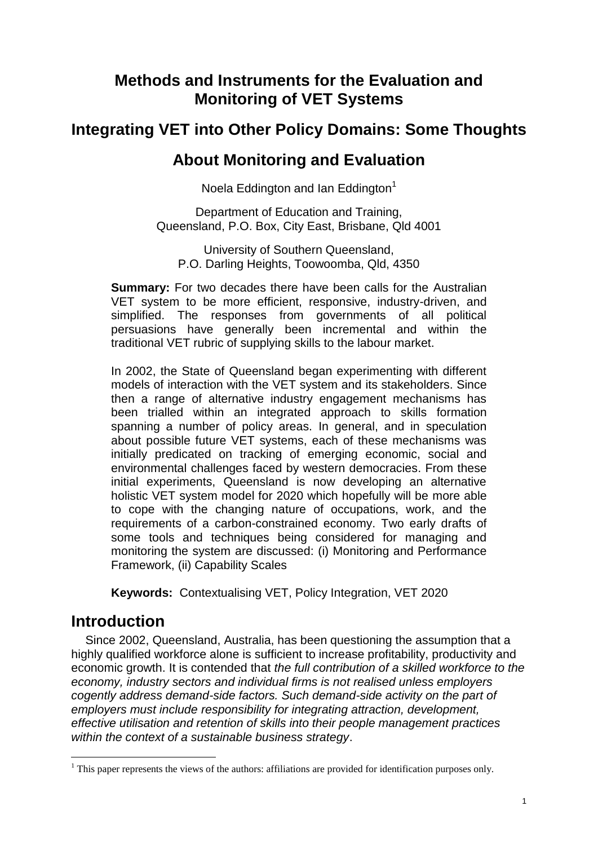# **Methods and Instruments for the Evaluation and Monitoring of VET Systems**

# **Integrating VET into Other Policy Domains: Some Thoughts**

## **About Monitoring and Evaluation**

Noela Eddington and Ian Eddington $1$ 

Department of Education and Training, Queensland, P.O. Box, City East, Brisbane, Qld 4001

University of Southern Queensland, P.O. Darling Heights, Toowoomba, Qld, 4350

**Summary:** For two decades there have been calls for the Australian VET system to be more efficient, responsive, industry-driven, and simplified. The responses from governments of all political persuasions have generally been incremental and within the traditional VET rubric of supplying skills to the labour market.

In 2002, the State of Queensland began experimenting with different models of interaction with the VET system and its stakeholders. Since then a range of alternative industry engagement mechanisms has been trialled within an integrated approach to skills formation spanning a number of policy areas. In general, and in speculation about possible future VET systems, each of these mechanisms was initially predicated on tracking of emerging economic, social and environmental challenges faced by western democracies. From these initial experiments, Queensland is now developing an alternative holistic VET system model for 2020 which hopefully will be more able to cope with the changing nature of occupations, work, and the requirements of a carbon-constrained economy. Two early drafts of some tools and techniques being considered for managing and monitoring the system are discussed: (i) Monitoring and Performance Framework, (ii) Capability Scales

**Keywords:** Contextualising VET, Policy Integration, VET 2020

# **Introduction**

 $\overline{a}$ 

Since 2002, Queensland, Australia, has been questioning the assumption that a highly qualified workforce alone is sufficient to increase profitability, productivity and economic growth. It is contended that *the full contribution of a skilled workforce to the economy, industry sectors and individual firms is not realised unless employers cogently address demand-side factors. Such demand-side activity on the part of employers must include responsibility for integrating attraction, development, effective utilisation and retention of skills into their people management practices within the context of a sustainable business strategy*.

<sup>&</sup>lt;sup>1</sup> This paper represents the views of the authors: affiliations are provided for identification purposes only.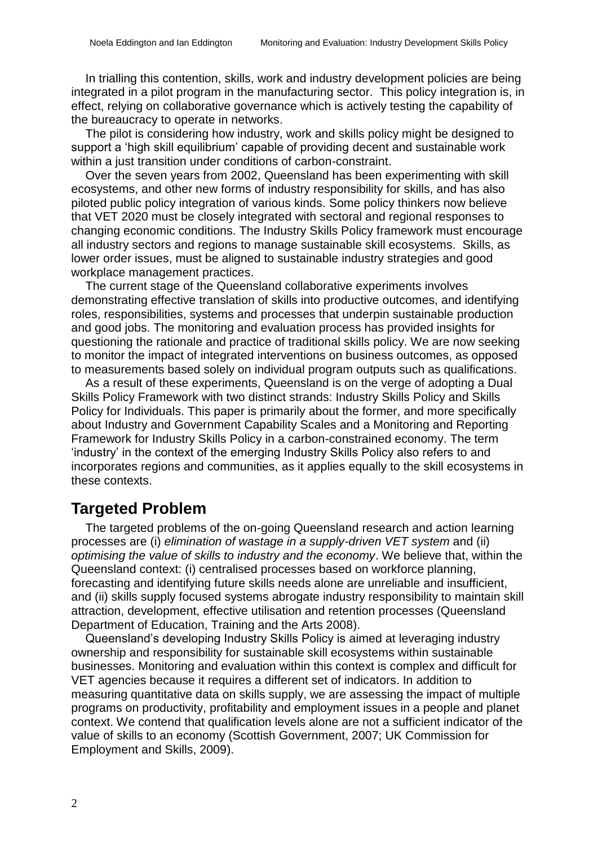In trialling this contention, skills, work and industry development policies are being integrated in a pilot program in the manufacturing sector. This policy integration is, in effect, relying on collaborative governance which is actively testing the capability of the bureaucracy to operate in networks.

The pilot is considering how industry, work and skills policy might be designed to support a 'high skill equilibrium' capable of providing decent and sustainable work within a just transition under conditions of carbon-constraint.

Over the seven years from 2002, Queensland has been experimenting with skill ecosystems, and other new forms of industry responsibility for skills, and has also piloted public policy integration of various kinds. Some policy thinkers now believe that VET 2020 must be closely integrated with sectoral and regional responses to changing economic conditions. The Industry Skills Policy framework must encourage all industry sectors and regions to manage sustainable skill ecosystems. Skills, as lower order issues, must be aligned to sustainable industry strategies and good workplace management practices.

The current stage of the Queensland collaborative experiments involves demonstrating effective translation of skills into productive outcomes, and identifying roles, responsibilities, systems and processes that underpin sustainable production and good jobs. The monitoring and evaluation process has provided insights for questioning the rationale and practice of traditional skills policy. We are now seeking to monitor the impact of integrated interventions on business outcomes, as opposed to measurements based solely on individual program outputs such as qualifications.

As a result of these experiments, Queensland is on the verge of adopting a Dual Skills Policy Framework with two distinct strands: Industry Skills Policy and Skills Policy for Individuals. This paper is primarily about the former, and more specifically about Industry and Government Capability Scales and a Monitoring and Reporting Framework for Industry Skills Policy in a carbon-constrained economy. The term 'industry' in the context of the emerging Industry Skills Policy also refers to and incorporates regions and communities, as it applies equally to the skill ecosystems in these contexts.

## **Targeted Problem**

The targeted problems of the on-going Queensland research and action learning processes are (i) *elimination of wastage in a supply-driven VET system* and (ii) *optimising the value of skills to industry and the economy*. We believe that, within the Queensland context: (i) centralised processes based on workforce planning, forecasting and identifying future skills needs alone are unreliable and insufficient, and (ii) skills supply focused systems abrogate industry responsibility to maintain skill attraction, development, effective utilisation and retention processes (Queensland Department of Education, Training and the Arts 2008).

Queensland's developing Industry Skills Policy is aimed at leveraging industry ownership and responsibility for sustainable skill ecosystems within sustainable businesses. Monitoring and evaluation within this context is complex and difficult for VET agencies because it requires a different set of indicators. In addition to measuring quantitative data on skills supply, we are assessing the impact of multiple programs on productivity, profitability and employment issues in a people and planet context. We contend that qualification levels alone are not a sufficient indicator of the value of skills to an economy (Scottish Government, 2007; UK Commission for Employment and Skills, 2009).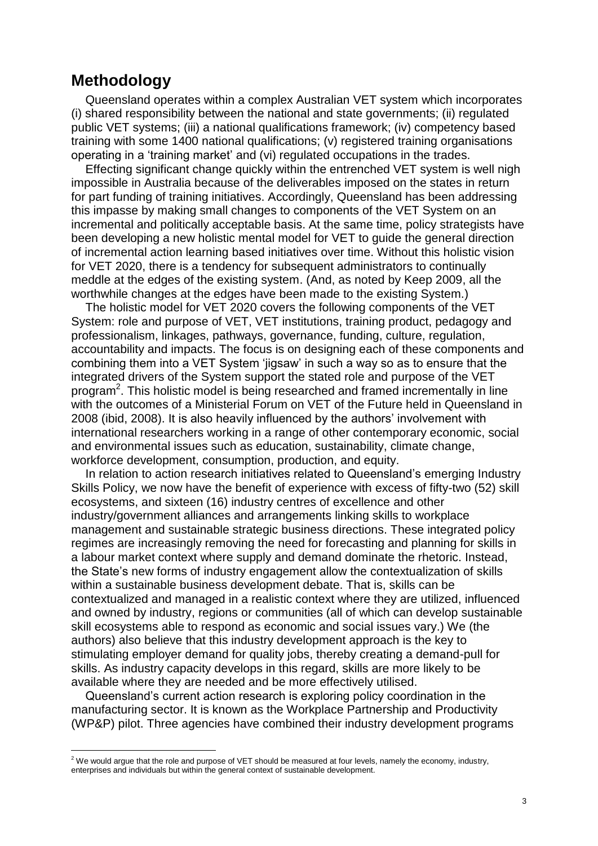# **Methodology**

 $\overline{a}$ 

Queensland operates within a complex Australian VET system which incorporates (i) shared responsibility between the national and state governments; (ii) regulated public VET systems; (iii) a national qualifications framework; (iv) competency based training with some 1400 national qualifications; (v) registered training organisations operating in a 'training market' and (vi) regulated occupations in the trades.

Effecting significant change quickly within the entrenched VET system is well nigh impossible in Australia because of the deliverables imposed on the states in return for part funding of training initiatives. Accordingly, Queensland has been addressing this impasse by making small changes to components of the VET System on an incremental and politically acceptable basis. At the same time, policy strategists have been developing a new holistic mental model for VET to guide the general direction of incremental action learning based initiatives over time. Without this holistic vision for VET 2020, there is a tendency for subsequent administrators to continually meddle at the edges of the existing system. (And, as noted by Keep 2009, all the worthwhile changes at the edges have been made to the existing System.)

The holistic model for VET 2020 covers the following components of the VET System: role and purpose of VET, VET institutions, training product, pedagogy and professionalism, linkages, pathways, governance, funding, culture, regulation, accountability and impacts. The focus is on designing each of these components and combining them into a VET System 'jigsaw' in such a way so as to ensure that the integrated drivers of the System support the stated role and purpose of the VET program<sup>2</sup>. This holistic model is being researched and framed incrementally in line with the outcomes of a Ministerial Forum on VET of the Future held in Queensland in 2008 (ibid, 2008). It is also heavily influenced by the authors' involvement with international researchers working in a range of other contemporary economic, social and environmental issues such as education, sustainability, climate change, workforce development, consumption, production, and equity.

In relation to action research initiatives related to Queensland's emerging Industry Skills Policy, we now have the benefit of experience with excess of fifty-two (52) skill ecosystems, and sixteen (16) industry centres of excellence and other industry/government alliances and arrangements linking skills to workplace management and sustainable strategic business directions. These integrated policy regimes are increasingly removing the need for forecasting and planning for skills in a labour market context where supply and demand dominate the rhetoric. Instead, the State's new forms of industry engagement allow the contextualization of skills within a sustainable business development debate. That is, skills can be contextualized and managed in a realistic context where they are utilized, influenced and owned by industry, regions or communities (all of which can develop sustainable skill ecosystems able to respond as economic and social issues vary.) We (the authors) also believe that this industry development approach is the key to stimulating employer demand for quality jobs, thereby creating a demand-pull for skills. As industry capacity develops in this regard, skills are more likely to be available where they are needed and be more effectively utilised.

Queensland's current action research is exploring policy coordination in the manufacturing sector. It is known as the Workplace Partnership and Productivity (WP&P) pilot. Three agencies have combined their industry development programs

 $2$  We would argue that the role and purpose of VET should be measured at four levels, namely the economy, industry, enterprises and individuals but within the general context of sustainable development.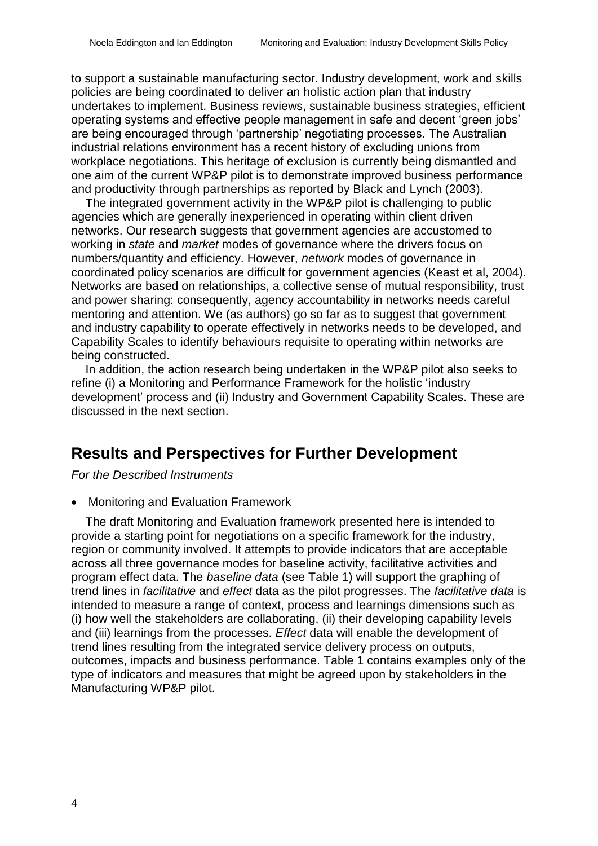to support a sustainable manufacturing sector. Industry development, work and skills policies are being coordinated to deliver an holistic action plan that industry undertakes to implement. Business reviews, sustainable business strategies, efficient operating systems and effective people management in safe and decent 'green jobs' are being encouraged through 'partnership' negotiating processes. The Australian industrial relations environment has a recent history of excluding unions from workplace negotiations. This heritage of exclusion is currently being dismantled and one aim of the current WP&P pilot is to demonstrate improved business performance and productivity through partnerships as reported by Black and Lynch (2003).

The integrated government activity in the WP&P pilot is challenging to public agencies which are generally inexperienced in operating within client driven networks. Our research suggests that government agencies are accustomed to working in *state* and *market* modes of governance where the drivers focus on numbers/quantity and efficiency. However, *network* modes of governance in coordinated policy scenarios are difficult for government agencies (Keast et al, 2004). Networks are based on relationships, a collective sense of mutual responsibility, trust and power sharing: consequently, agency accountability in networks needs careful mentoring and attention. We (as authors) go so far as to suggest that government and industry capability to operate effectively in networks needs to be developed, and Capability Scales to identify behaviours requisite to operating within networks are being constructed.

In addition, the action research being undertaken in the WP&P pilot also seeks to refine (i) a Monitoring and Performance Framework for the holistic 'industry development' process and (ii) Industry and Government Capability Scales. These are discussed in the next section.

## **Results and Perspectives for Further Development**

*For the Described Instruments*

Monitoring and Evaluation Framework

The draft Monitoring and Evaluation framework presented here is intended to provide a starting point for negotiations on a specific framework for the industry, region or community involved. It attempts to provide indicators that are acceptable across all three governance modes for baseline activity, facilitative activities and program effect data. The *baseline data* (see Table 1) will support the graphing of trend lines in *facilitative* and *effect* data as the pilot progresses. The *facilitative data* is intended to measure a range of context, process and learnings dimensions such as (i) how well the stakeholders are collaborating, (ii) their developing capability levels and (iii) learnings from the processes. *Effect* data will enable the development of trend lines resulting from the integrated service delivery process on outputs, outcomes, impacts and business performance. Table 1 contains examples only of the type of indicators and measures that might be agreed upon by stakeholders in the Manufacturing WP&P pilot.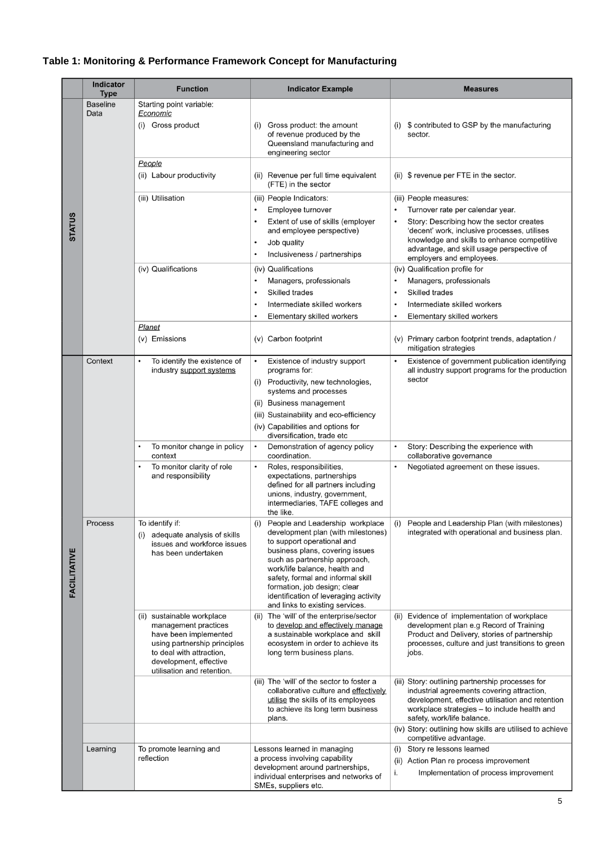### **Table 1: Monitoring & Performance Framework Concept for Manufacturing**

|                     | <b>Indicator</b><br><b>Type</b> | <b>Function</b>                                                                                                                                                                                 | <b>Indicator Example</b>                                                                                                                                                                                                                                                                                                                                         | <b>Measures</b>                                                                                                                                                                                                                                                                |
|---------------------|---------------------------------|-------------------------------------------------------------------------------------------------------------------------------------------------------------------------------------------------|------------------------------------------------------------------------------------------------------------------------------------------------------------------------------------------------------------------------------------------------------------------------------------------------------------------------------------------------------------------|--------------------------------------------------------------------------------------------------------------------------------------------------------------------------------------------------------------------------------------------------------------------------------|
|                     | <b>Baseline</b><br>Data         | Starting point variable:<br><u>Economic</u><br>(i) Gross product                                                                                                                                | Gross product: the amount<br>(i)<br>of revenue produced by the<br>Queensland manufacturing and<br>engineering sector                                                                                                                                                                                                                                             | $(i)$ \$ contributed to GSP by the manufacturing<br>sector.                                                                                                                                                                                                                    |
|                     |                                 | People<br>(ii) Labour productivity                                                                                                                                                              | (ii) Revenue per full time equivalent<br>(FTE) in the sector                                                                                                                                                                                                                                                                                                     | (ii) $\sqrt{ }$ revenue per FTE in the sector.                                                                                                                                                                                                                                 |
| <b>STATUS</b>       |                                 | (iii) Utilisation                                                                                                                                                                               | (iii) People Indicators:<br>Employee turnover<br>$\bullet$<br>Extent of use of skills (employer<br>$\bullet$<br>and employee perspective)<br>Job quality<br>$\bullet$<br>Inclusiveness / partnerships                                                                                                                                                            | (iii) People measures:<br>Turnover rate per calendar year.<br>Story: Describing how the sector creates<br>'decent' work, inclusive processes, utilises<br>knowledge and skills to enhance competitive<br>advantage, and skill usage perspective of<br>employers and employees. |
|                     |                                 | (iv) Qualifications<br><b>Planet</b>                                                                                                                                                            | (iv) Qualifications<br>Managers, professionals<br>$\bullet$<br>Skilled trades<br>$\bullet$<br>Intermediate skilled workers<br>٠<br>Elementary skilled workers<br>٠                                                                                                                                                                                               | (iv) Qualification profile for<br>Managers, professionals<br>Skilled trades<br>Intermediate skilled workers<br>Elementary skilled workers                                                                                                                                      |
|                     | Context                         | (v) Emissions<br>To identify the existence of                                                                                                                                                   | (v) Carbon footprint<br>Existence of industry support<br>$\bullet$                                                                                                                                                                                                                                                                                               | (v) Primary carbon footprint trends, adaptation /<br>mitigation strategies<br>Existence of government publication identifying                                                                                                                                                  |
|                     |                                 | industry support systems                                                                                                                                                                        | programs for:<br>(i) Productivity, new technologies,<br>systems and processes<br>(ii) Business management<br>(iii) Sustainability and eco-efficiency<br>(iv) Capabilities and options for<br>diversification, trade etc                                                                                                                                          | all industry support programs for the production<br>sector                                                                                                                                                                                                                     |
|                     |                                 | To monitor change in policy<br>context                                                                                                                                                          | Demonstration of agency policy<br>$\bullet$<br>coordination.                                                                                                                                                                                                                                                                                                     | Story: Describing the experience with<br>collaborative governance                                                                                                                                                                                                              |
|                     |                                 | To monitor clarity of role<br>and responsibility                                                                                                                                                | Roles, responsibilities,<br>$\bullet$<br>expectations, partnerships<br>defined for all partners including<br>unions, industry, government,<br>intermediaries, TAFE colleges and<br>the like.                                                                                                                                                                     | Negotiated agreement on these issues.                                                                                                                                                                                                                                          |
| <b>FACILITATIVE</b> | Process                         | To identify if:<br>adequate analysis of skills<br>(i)<br>issues and workforce issues<br>has been undertaken                                                                                     | People and Leadership workplace<br>(i)<br>development plan (with milestones)<br>to support operational and<br>business plans, covering issues<br>such as partnership approach,<br>work/life balance, health and<br>safety, formal and informal skill<br>formation, job design; clear<br>identification of leveraging activity<br>and links to existing services. | People and Leadership Plan (with milestones)<br>(i)<br>integrated with operational and business plan.                                                                                                                                                                          |
|                     |                                 | (ii) sustainable workplace<br>management practices<br>have been implemented<br>using partnership principles<br>to deal with attraction,<br>development, effective<br>utilisation and retention. | The 'will' of the enterprise/sector<br>(ii)<br>to develop and effectively manage<br>a sustainable workplace and skill<br>ecosystem in order to achieve its<br>long term business plans.                                                                                                                                                                          | Evidence of implementation of workplace<br>(ii)<br>development plan e.g Record of Training<br>Product and Delivery, stories of partnership<br>processes, culture and just transitions to green<br>jobs.                                                                        |
|                     |                                 |                                                                                                                                                                                                 | (iii) The 'will' of the sector to foster a<br>collaborative culture and effectively<br>utilise the skills of its employees<br>to achieve its long term business<br>plans.                                                                                                                                                                                        | (iii) Story: outlining partnership processes for<br>industrial agreements covering attraction,<br>development, effective utilisation and retention<br>workplace strategies – to include health and<br>safety, work/life balance.                                               |
|                     |                                 |                                                                                                                                                                                                 |                                                                                                                                                                                                                                                                                                                                                                  | (iv) Story: outlining how skills are utilised to achieve<br>competitive advantage.                                                                                                                                                                                             |
|                     | Learning                        | To promote learning and<br>reflection                                                                                                                                                           | Lessons learned in managing<br>a process involving capability<br>development around partnerships,<br>individual enterprises and networks of<br>SMEs, suppliers etc.                                                                                                                                                                                              | Story re lessons learned<br>(i)<br>Action Plan re process improvement<br>(ii)<br>Implementation of process improvement<br>i.                                                                                                                                                   |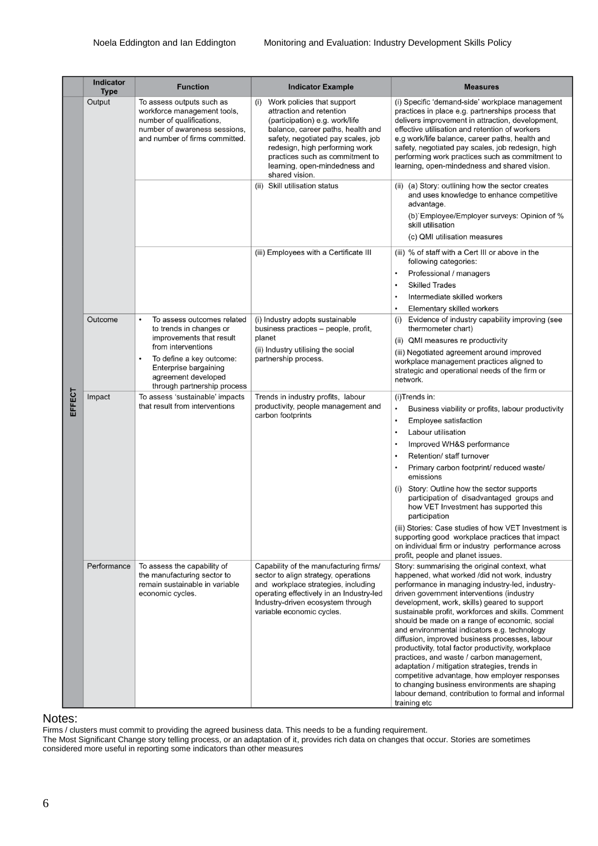|        |  | Indicator<br><b>Type</b> | <b>Function</b>                                                                                                                                          | <b>Indicator Example</b>                                                                                                                                                                                                                                                                           | <b>Measures</b>                                                                                                                                                                                                                                                                                                                                                                                                                                                                                                                                                                                                                                                                                                                                                                     |
|--------|--|--------------------------|----------------------------------------------------------------------------------------------------------------------------------------------------------|----------------------------------------------------------------------------------------------------------------------------------------------------------------------------------------------------------------------------------------------------------------------------------------------------|-------------------------------------------------------------------------------------------------------------------------------------------------------------------------------------------------------------------------------------------------------------------------------------------------------------------------------------------------------------------------------------------------------------------------------------------------------------------------------------------------------------------------------------------------------------------------------------------------------------------------------------------------------------------------------------------------------------------------------------------------------------------------------------|
|        |  | Output                   | To assess outputs such as<br>workforce management tools,<br>number of qualifications,<br>number of awareness sessions,<br>and number of firms committed. | Work policies that support<br>(i)<br>attraction and retention<br>(participation) e.g. work/life<br>balance, career paths, health and<br>safety, negotiated pay scales, job<br>redesign, high performing work<br>practices such as commitment to<br>learning, open-mindedness and<br>shared vision. | (i) Specific 'demand-side' workplace management<br>practices in place e.g. partnerships process that<br>delivers improvement in attraction, development,<br>effective utilisation and retention of workers<br>e.g work/life balance, career paths, health and<br>safety, negotiated pay scales, job redesign, high<br>performing work practices such as commitment to<br>learning, open-mindedness and shared vision.                                                                                                                                                                                                                                                                                                                                                               |
|        |  |                          |                                                                                                                                                          | (ii) Skill utilisation status                                                                                                                                                                                                                                                                      | (ii) (a) Story: outlining how the sector creates<br>and uses knowledge to enhance competitive<br>advantage.<br>(b) Employee/Employer surveys: Opinion of %<br>skill utilisation                                                                                                                                                                                                                                                                                                                                                                                                                                                                                                                                                                                                     |
|        |  |                          |                                                                                                                                                          |                                                                                                                                                                                                                                                                                                    | (c) QMI utilisation measures                                                                                                                                                                                                                                                                                                                                                                                                                                                                                                                                                                                                                                                                                                                                                        |
|        |  |                          |                                                                                                                                                          | (iii) Employees with a Certificate III                                                                                                                                                                                                                                                             | (iii) % of staff with a Cert III or above in the<br>following categories:                                                                                                                                                                                                                                                                                                                                                                                                                                                                                                                                                                                                                                                                                                           |
|        |  |                          |                                                                                                                                                          |                                                                                                                                                                                                                                                                                                    | Professional / managers                                                                                                                                                                                                                                                                                                                                                                                                                                                                                                                                                                                                                                                                                                                                                             |
|        |  |                          |                                                                                                                                                          |                                                                                                                                                                                                                                                                                                    | <b>Skilled Trades</b><br>$\bullet$                                                                                                                                                                                                                                                                                                                                                                                                                                                                                                                                                                                                                                                                                                                                                  |
|        |  |                          |                                                                                                                                                          |                                                                                                                                                                                                                                                                                                    | Intermediate skilled workers<br>$\bullet$                                                                                                                                                                                                                                                                                                                                                                                                                                                                                                                                                                                                                                                                                                                                           |
|        |  |                          |                                                                                                                                                          |                                                                                                                                                                                                                                                                                                    | Elementary skilled workers                                                                                                                                                                                                                                                                                                                                                                                                                                                                                                                                                                                                                                                                                                                                                          |
|        |  | Outcome                  | To assess outcomes related<br>$\bullet$<br>to trends in changes or<br>improvements that result                                                           | (i) Industry adopts sustainable<br>business practices - people, profit,<br>planet                                                                                                                                                                                                                  | Evidence of industry capability improving (see<br>(i)<br>thermometer chart)                                                                                                                                                                                                                                                                                                                                                                                                                                                                                                                                                                                                                                                                                                         |
|        |  |                          | from interventions                                                                                                                                       | (ii) Industry utilising the social                                                                                                                                                                                                                                                                 | (ii) QMI measures re productivity                                                                                                                                                                                                                                                                                                                                                                                                                                                                                                                                                                                                                                                                                                                                                   |
|        |  |                          | To define a key outcome:<br>$\bullet$<br>Enterprise bargaining<br>agreement developed<br>through partnership process                                     | partnership process.                                                                                                                                                                                                                                                                               | (iii) Negotiated agreement around improved<br>workplace management practices aligned to<br>strategic and operational needs of the firm or<br>network.                                                                                                                                                                                                                                                                                                                                                                                                                                                                                                                                                                                                                               |
|        |  | Impact                   | To assess 'sustainable' impacts<br>that result from interventions                                                                                        | Trends in industry profits, labour<br>productivity, people management and<br>carbon footprints                                                                                                                                                                                                     | (i)Trends in:                                                                                                                                                                                                                                                                                                                                                                                                                                                                                                                                                                                                                                                                                                                                                                       |
| EFFECT |  |                          |                                                                                                                                                          |                                                                                                                                                                                                                                                                                                    | Business viability or profits, labour productivity                                                                                                                                                                                                                                                                                                                                                                                                                                                                                                                                                                                                                                                                                                                                  |
|        |  |                          |                                                                                                                                                          |                                                                                                                                                                                                                                                                                                    | Employee satisfaction<br>$\bullet$                                                                                                                                                                                                                                                                                                                                                                                                                                                                                                                                                                                                                                                                                                                                                  |
|        |  |                          |                                                                                                                                                          |                                                                                                                                                                                                                                                                                                    | Labour utilisation<br>$\bullet$                                                                                                                                                                                                                                                                                                                                                                                                                                                                                                                                                                                                                                                                                                                                                     |
|        |  |                          |                                                                                                                                                          |                                                                                                                                                                                                                                                                                                    | Improved WH&S performance                                                                                                                                                                                                                                                                                                                                                                                                                                                                                                                                                                                                                                                                                                                                                           |
|        |  |                          |                                                                                                                                                          |                                                                                                                                                                                                                                                                                                    | Retention/ staff turnover                                                                                                                                                                                                                                                                                                                                                                                                                                                                                                                                                                                                                                                                                                                                                           |
|        |  |                          |                                                                                                                                                          |                                                                                                                                                                                                                                                                                                    | Primary carbon footprint/ reduced waste/<br>emissions                                                                                                                                                                                                                                                                                                                                                                                                                                                                                                                                                                                                                                                                                                                               |
|        |  |                          |                                                                                                                                                          |                                                                                                                                                                                                                                                                                                    | Story: Outline how the sector supports<br>(i)<br>participation of disadvantaged groups and<br>how VET Investment has supported this<br>participation                                                                                                                                                                                                                                                                                                                                                                                                                                                                                                                                                                                                                                |
|        |  |                          |                                                                                                                                                          |                                                                                                                                                                                                                                                                                                    | (iii) Stories: Case studies of how VET Investment is<br>supporting good workplace practices that impact<br>on individual firm or industry performance across<br>profit, people and planet issues.                                                                                                                                                                                                                                                                                                                                                                                                                                                                                                                                                                                   |
|        |  | Performance              | To assess the capability of<br>the manufacturing sector to<br>remain sustainable in variable<br>economic cycles.                                         | Capability of the manufacturing firms/<br>sector to align strategy, operations<br>and workplace strategies, including<br>operating effectively in an Industry-led<br>Industry-driven ecosystem through<br>variable economic cycles.                                                                | Story: summarising the original context, what<br>happened, what worked /did not work, industry<br>performance in managing industry-led, industry-<br>driven government interventions (industry<br>development, work, skills) geared to support<br>sustainable profit, workforces and skills. Comment<br>should be made on a range of economic, social<br>and environmental indicators e.g. technology<br>diffusion, improved business processes, labour<br>productivity, total factor productivity, workplace<br>practices, and waste / carbon management,<br>adaptation / mitigation strategies, trends in<br>competitive advantage, how employer responses<br>to changing business environments are shaping<br>labour demand, contribution to formal and informal<br>training etc |

#### Notes:

Firms / clusters must commit to providing the agreed business data. This needs to be a funding requirement.

The Most Significant Change story telling process, or an adaptation of it, provides rich data on changes that occur. Stories are sometimes considered more useful in reporting some indicators than other measures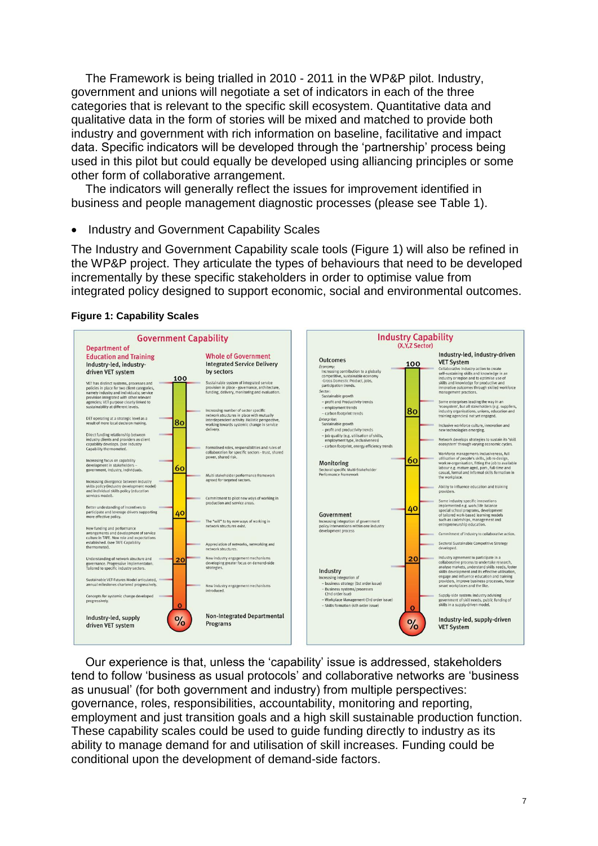The Framework is being trialled in 2010 - 2011 in the WP&P pilot. Industry, government and unions will negotiate a set of indicators in each of the three categories that is relevant to the specific skill ecosystem. Quantitative data and qualitative data in the form of stories will be mixed and matched to provide both industry and government with rich information on baseline, facilitative and impact data. Specific indicators will be developed through the 'partnership' process being used in this pilot but could equally be developed using alliancing principles or some other form of collaborative arrangement.

The indicators will generally reflect the issues for improvement identified in business and people management diagnostic processes (please see Table 1).

Industry and Government Capability Scales

The Industry and Government Capability scale tools (Figure 1) will also be refined in the WP&P project. They articulate the types of behaviours that need to be developed incrementally by these specific stakeholders in order to optimise value from integrated policy designed to support economic, social and environmental outcomes.





Our experience is that, unless the 'capability' issue is addressed, stakeholders tend to follow 'business as usual protocols' and collaborative networks are 'business as unusual' (for both government and industry) from multiple perspectives: governance, roles, responsibilities, accountability, monitoring and reporting, employment and just transition goals and a high skill sustainable production function. These capability scales could be used to guide funding directly to industry as its ability to manage demand for and utilisation of skill increases. Funding could be conditional upon the development of demand-side factors.